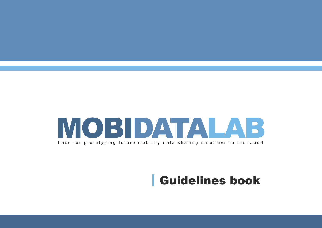

# Guidelines book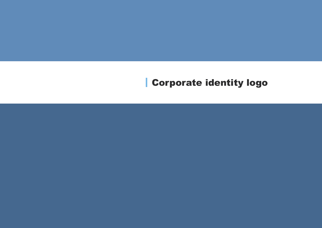# Corporate identity logo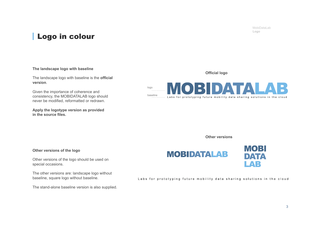MobiDataLab **Logo**

### Logo in colour

#### **The landscape logo with baseline**

The landscape logo with baseline is the **official version**.

Given the importance of coherence and consistency, the MOBIDATALAB logo should never be modified, reformatted or redrawn.

**Apply the logotype version as provided in the source files.**

**Official logo**



**Other versions**

#### **Other versions of the logo**

Other versions of the logo should be used on special occasions.

The other versions are: landscape logo without baseline, square logo without baseline.

The stand-alone baseline version is also supplied.





Labs for prototyping future mobility data sharing solutions in the cloud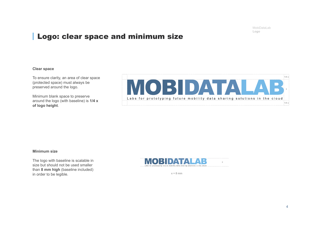MobiDataLab **Logo**

### Logo: clear space and minimum size

#### **Clear space**

To ensure clarity, an area of clear space (protected space) must always be preserved around the logo.

Minimum blank space to preserve around the logo (with baseline) is **1/4 x of logo height**.



#### **Minimum size**

The logo with baseline is scalable in size but should not be used smaller than **8 mm high** (baseline included) in order to be legible.  $x = 8 \text{ mm}$ 

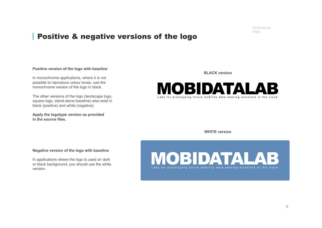MobiDataLab **Logo**

### Positive & negative versions of the logo

#### **Positive version of the logo with baseline**

In monochrome applications, where it is not possible to reproduce colour tones, use the monochrome version of the logo in black.

The other versions of the logo (landscape logo, square logo, stand-alone baseline) also exist in black (positive) and white (negative).

**Apply the logotype version as provided in the source files.**

**BLACK version**



**WHITE version**

#### **Negative version of the logo with baseline**

In applications where the logo is used on dark or black background, you should use the white version.

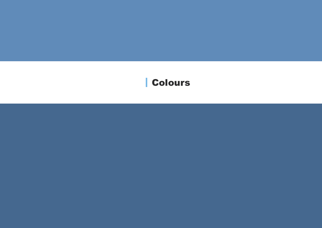# Colours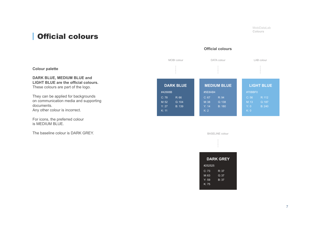MobiDataLab **Colours**

### Official colours

### **Official colours**

|                                                                                                                              | MOBI colour                                                           | DATA colour                                                                 | LAB colour                                                             |
|------------------------------------------------------------------------------------------------------------------------------|-----------------------------------------------------------------------|-----------------------------------------------------------------------------|------------------------------------------------------------------------|
| <b>Colour palette</b>                                                                                                        |                                                                       |                                                                             |                                                                        |
| DARK BLUE, MEDIUM BLUE and<br>LIGHT BLUE are the official colours.<br>These colours are part of the logo.                    | <b>DARK BLUE</b>                                                      | <b>MEDIUM BLUE</b>                                                          | <b>LIGHT BLUE</b>                                                      |
| They can be applied for backgrounds<br>on communication media and supporting<br>documents.<br>Any other colour is incorrect. | #42688B<br>R:66<br>C: 78<br>M:52<br>G:104<br>Y: 27<br>B: 139<br>K: 11 | #5E8AB4<br>C: 67<br>R:94<br>M:38<br>G:138<br>Y: 14<br><b>B: 180</b><br>K: 2 | #70BBF0<br>C: 56<br>R: 112<br>M: 13<br>G:187<br>B: 240<br>Y: 0<br>K: 0 |
| For icons, the preferred colour<br>is MEDIUM BLUE.                                                                           |                                                                       |                                                                             |                                                                        |
| The baseline colour is DARK GREY.                                                                                            |                                                                       | <b>BASELINE</b> colour                                                      |                                                                        |
|                                                                                                                              |                                                                       |                                                                             |                                                                        |
|                                                                                                                              |                                                                       | <b>DARK GREY</b>                                                            |                                                                        |
|                                                                                                                              |                                                                       | #252525<br>R:37<br>C: 73<br>M:63<br>G:37<br>B: 37<br>Y: 59<br>K: 75         |                                                                        |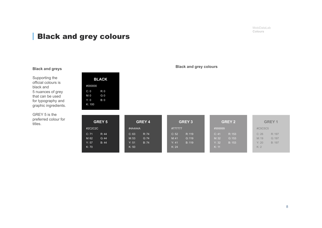MobiDataLab **Colours**

### Black and grey colours

Supporting the official colours is black and 5 nuances of grey that can be used for typography and graphic ingredients.

GREY 5 is the preferred colour for titles.

| <b>BLACK</b> |         |     |  |  |
|--------------|---------|-----|--|--|
|              | #000000 |     |  |  |
|              | C: 0    | R:0 |  |  |
|              | M:0     | G:0 |  |  |
|              | Y: 0    | B:0 |  |  |
|              | K: 100  |     |  |  |
|              |         |     |  |  |

| <b>GREY 5</b> | <b>GREY 4</b> | <b>GREY 3</b> | <b>GREY 2</b> | <b>GREY 1</b> |
|---------------|---------------|---------------|---------------|---------------|
| #2C2C2C       | #4A4A4A       | #777777       | #999999       | #C5C5C5       |
| C: 71         | C: 63         | R: 119        | R: 153        | C:26          |
| R: 44         | R:74          | C: 52         | C: 41         | R: 197        |
| M:62          | M: 53         | G: 119        | G: 153        | G:197         |
| G: 44         | G:74          | M:41          | M:32          | M: 19         |
| Y: 57         | Y: 51         | B: 119        | Y: 32         | Y: 20         |
| B: 44         | B: 74         | Y: 41         | B: 153        | B: 197        |
| K: 70         | K: 50         | K: 24         | K: 11         | K: 2          |

### **Black and grey colours Black and greys**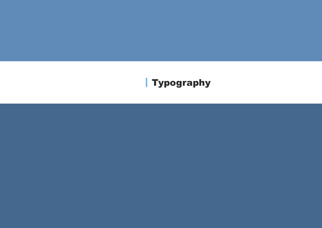# Typography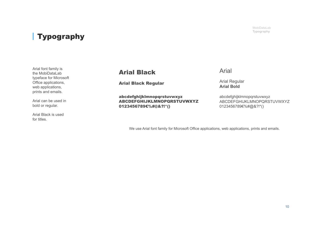## Typography

Arial font family is the MobiDataLab typeface for Microsoft Office applications, web applications, prints and emails.

Arial can be used in bold or regular.

Arial Black is used for titles.

### Arial Black

Arial Black Regular

abcdefghijklmnopqrstuvwxyz ABCDEFGHIJKLMNOPQRSTUVWXYZ 0123456789€%#@&?!\*()

Arial

Arial Regular **Arial Bold**

abcdefghijklmnopqrstuvwxyz ABCDEFGHIJKLMNOPQRSTUVWXYZ 0123456789€%#@&?!\*()

We use Arial font family for Microsoft Office applications, web applications, prints and emails.

MobiDataLab **Typography**